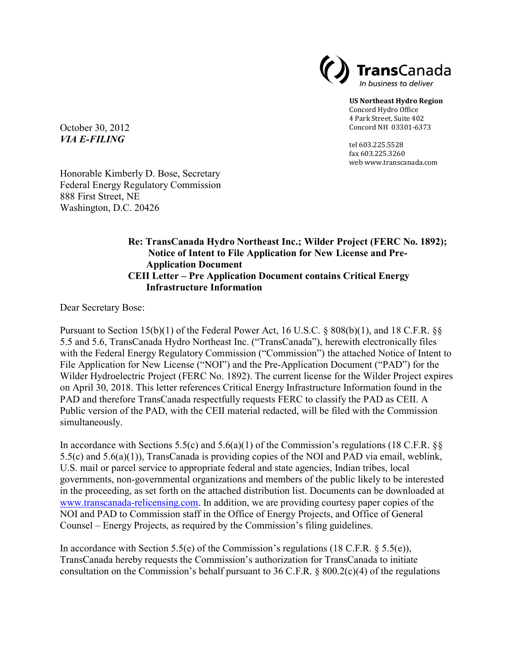

**US Northeast Hydro Region** Concord Hydro Office 4 Park Street, Suite 402 Concord NH 03301-6373

tel 603.225.5528 fax 603.225.3260 web www.transcanada.com

October 30, 2012 *VIA E-FILING*

Honorable Kimberly D. Bose, Secretary Federal Energy Regulatory Commission 888 First Street, NE Washington, D.C. 20426

## **Re: TransCanada Hydro Northeast Inc.; Wilder Project (FERC No. 1892); Notice of Intent to File Application for New License and Pre-Application Document CEII Letter – Pre Application Document contains Critical Energy Infrastructure Information**

Dear Secretary Bose:

Pursuant to Section 15(b)(1) of the Federal Power Act, 16 U.S.C. § 808(b)(1), and 18 C.F.R. §§ 5.5 and 5.6, TransCanada Hydro Northeast Inc. ("TransCanada"), herewith electronically files with the Federal Energy Regulatory Commission ("Commission") the attached Notice of Intent to File Application for New License ("NOI") and the Pre-Application Document ("PAD") for the Wilder Hydroelectric Project (FERC No. 1892). The current license for the Wilder Project expires on April 30, 2018. This letter references Critical Energy Infrastructure Information found in the PAD and therefore TransCanada respectfully requests FERC to classify the PAD as CEII. A Public version of the PAD, with the CEII material redacted, will be filed with the Commission simultaneously.

In accordance with Sections 5.5(c) and 5.6(a)(1) of the Commission's regulations (18 C.F.R.  $\S$ 5.5(c) and 5.6(a)(1)), TransCanada is providing copies of the NOI and PAD via email, weblink, U.S. mail or parcel service to appropriate federal and state agencies, Indian tribes, local governments, non-governmental organizations and members of the public likely to be interested in the proceeding, as set forth on the attached distribution list. Documents can be downloaded at [www.transcanada-relicensing.com.](http://www.transcanada-relicensing.com/) In addition, we are providing courtesy paper copies of the NOI and PAD to Commission staff in the Office of Energy Projects, and Office of General Counsel – Energy Projects, as required by the Commission's filing guidelines.

In accordance with Section 5.5(e) of the Commission's regulations (18 C.F.R.  $\S$  5.5(e)), TransCanada hereby requests the Commission's authorization for TransCanada to initiate consultation on the Commission's behalf pursuant to 36 C.F.R. § 800.2(c)(4) of the regulations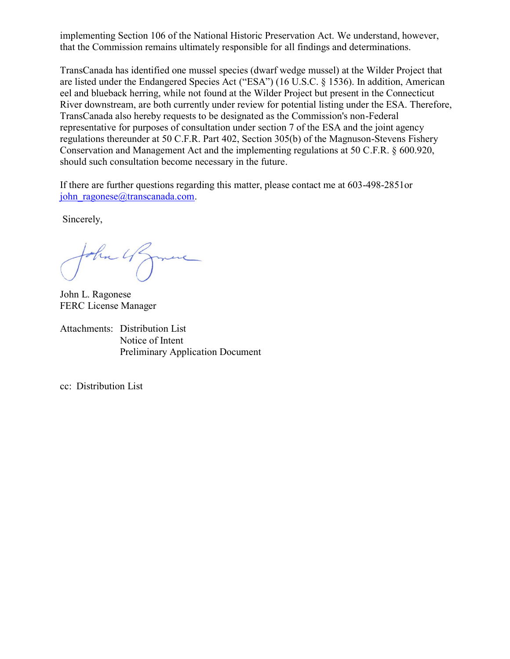implementing Section 106 of the National Historic Preservation Act. We understand, however, that the Commission remains ultimately responsible for all findings and determinations.

TransCanada has identified one mussel species (dwarf wedge mussel) at the Wilder Project that are listed under the Endangered Species Act ("ESA") (16 U.S.C. § 1536). In addition, American eel and blueback herring, while not found at the Wilder Project but present in the Connecticut River downstream, are both currently under review for potential listing under the ESA. Therefore, TransCanada also hereby requests to be designated as the Commission's non-Federal representative for purposes of consultation under section 7 of the ESA and the joint agency regulations thereunder at 50 C.F.R. Part [402,](http://www.law.cornell.edu/cfr/text/50/402) Section 305(b) of the Magnuson-Stevens Fishery Conservation and Management Act and the implementing regulations at 50 C.F.R. § [600.920,](http://www.law.cornell.edu/cfr/text/50/600/920) should such consultation become necessary in the future.

If there are further questions regarding this matter, please contact me at 603-498-2851or john ragonese@transcanada.com.

Sincerely,

ohn 4

John L. Ragonese FERC License Manager

Attachments: Distribution List Notice of Intent Preliminary Application Document

cc: Distribution List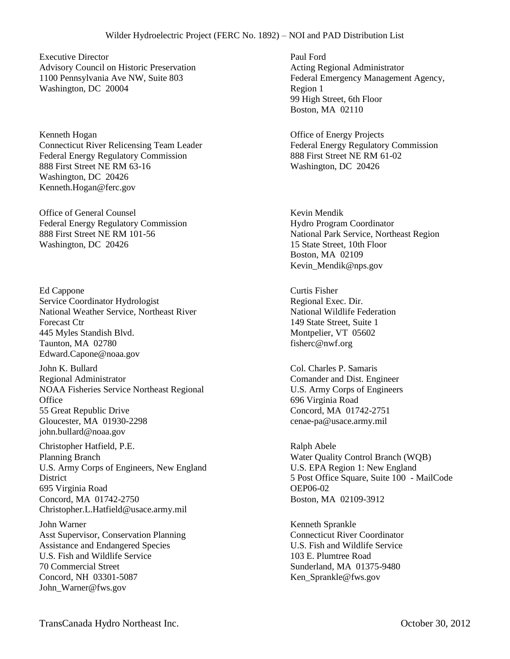## Wilder Hydroelectric Project (FERC No. 1892) – NOI and PAD Distribution List

Executive Director Advisory Council on Historic Preservation 1100 Pennsylvania Ave NW, Suite 803 Washington, DC 20004

Kenneth Hogan Connecticut River Relicensing Team Leader Federal Energy Regulatory Commission 888 First Street NE RM 63-16 Washington, DC 20426 Kenneth.Hogan@ferc.gov

Office of General Counsel Federal Energy Regulatory Commission 888 First Street NE RM 101-56 Washington, DC 20426

Ed Cappone Service Coordinator Hydrologist National Weather Service, Northeast River Forecast Ctr 445 Myles Standish Blvd. Taunton, MA 02780 Edward.Capone@noaa.gov

John K. Bullard Regional Administrator NOAA Fisheries Service Northeast Regional **Office** 55 Great Republic Drive Gloucester, MA 01930-2298 john.bullard@noaa.gov

Christopher Hatfield, P.E. Planning Branch U.S. Army Corps of Engineers, New England **District** 695 Virginia Road Concord, MA 01742-2750 Christopher.L.Hatfield@usace.army.mil

John Warner Asst Supervisor, Conservation Planning Assistance and Endangered Species U.S. Fish and Wildlife Service 70 Commercial Street Concord, NH 03301-5087 John\_Warner@fws.gov

Paul Ford Acting Regional Administrator Federal Emergency Management Agency, Region 1 99 High Street, 6th Floor Boston, MA 02110

Office of Energy Projects Federal Energy Regulatory Commission 888 First Street NE RM 61-02 Washington, DC 20426

Kevin Mendik Hydro Program Coordinator National Park Service, Northeast Region 15 State Street, 10th Floor Boston, MA 02109 Kevin\_Mendik@nps.gov

Curtis Fisher Regional Exec. Dir. National Wildlife Federation 149 State Street, Suite 1 Montpelier, VT 05602 fisherc@nwf.org

Col. Charles P. Samaris Comander and Dist. Engineer U.S. Army Corps of Engineers 696 Virginia Road Concord, MA 01742-2751 cenae-pa@usace.army.mil

Ralph Abele Water Quality Control Branch (WQB) U.S. EPA Region 1: New England 5 Post Office Square, Suite 100 - MailCode OEP06-02 Boston, MA 02109-3912

Kenneth Sprankle Connecticut River Coordinator U.S. Fish and Wildlife Service 103 E. Plumtree Road Sunderland, MA 01375-9480 Ken\_Sprankle@fws.gov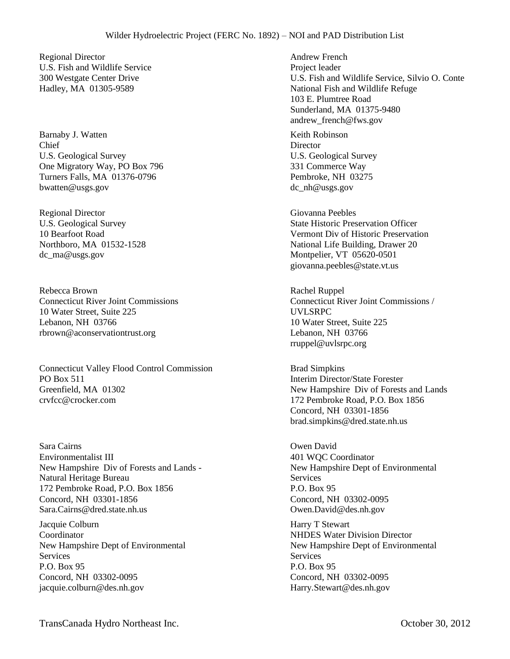Regional Director U.S. Fish and Wildlife Service 300 Westgate Center Drive Hadley, MA 01305-9589

Barnaby J. Watten Chief U.S. Geological Survey One Migratory Way, PO Box 796 Turners Falls, MA 01376-0796 bwatten@usgs.gov

Regional Director U.S. Geological Survey 10 Bearfoot Road Northboro, MA 01532-1528 dc\_ma@usgs.gov

Rebecca Brown Connecticut River Joint Commissions 10 Water Street, Suite 225 Lebanon, NH 03766 rbrown@aconservationtrust.org

Connecticut Valley Flood Control Commission PO Box 511 Greenfield, MA 01302 crvfcc@crocker.com

Sara Cairns Environmentalist III New Hampshire Div of Forests and Lands - Natural Heritage Bureau 172 Pembroke Road, P.O. Box 1856 Concord, NH 03301-1856 Sara.Cairns@dred.state.nh.us

Jacquie Colburn Coordinator New Hampshire Dept of Environmental **Services** P.O. Box 95 Concord, NH 03302-0095 jacquie.colburn@des.nh.gov

Andrew French Project leader U.S. Fish and Wildlife Service, Silvio O. Conte National Fish and Wildlife Refuge 103 E. Plumtree Road Sunderland, MA 01375-9480 andrew\_french@fws.gov

Keith Robinson **Director** U.S. Geological Survey 331 Commerce Way Pembroke, NH 03275 dc\_nh@usgs.gov

Giovanna Peebles State Historic Preservation Officer Vermont Div of Historic Preservation National Life Building, Drawer 20 Montpelier, VT 05620-0501 giovanna.peebles@state.vt.us

Rachel Ruppel Connecticut River Joint Commissions / UVLSRPC 10 Water Street, Suite 225 Lebanon, NH 03766 rruppel@uvlsrpc.org

Brad Simpkins Interim Director/State Forester New Hampshire Div of Forests and Lands 172 Pembroke Road, P.O. Box 1856 Concord, NH 03301-1856 brad.simpkins@dred.state.nh.us

Owen David 401 WQC Coordinator New Hampshire Dept of Environmental **Services** P.O. Box 95 Concord, NH 03302-0095 Owen.David@des.nh.gov

Harry T Stewart NHDES Water Division Director New Hampshire Dept of Environmental **Services** P.O. Box 95 Concord, NH 03302-0095 Harry.Stewart@des.nh.gov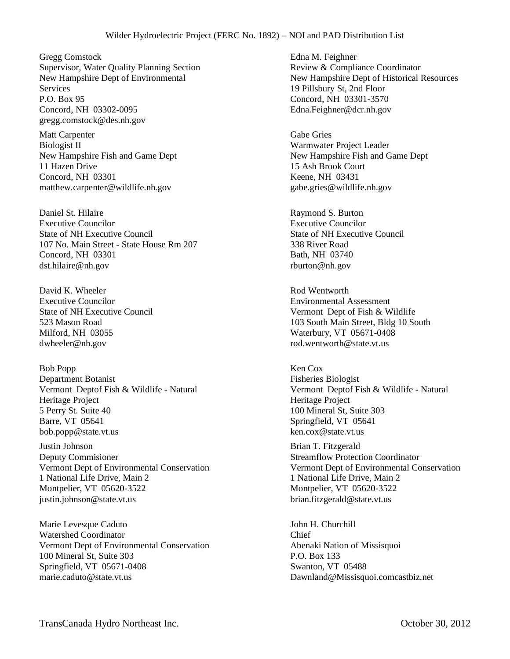Gregg Comstock Supervisor, Water Quality Planning Section New Hampshire Dept of Environmental **Services** P.O. Box 95 Concord, NH 03302-0095 gregg.comstock@des.nh.gov

Matt Carpenter Biologist II New Hampshire Fish and Game Dept 11 Hazen Drive Concord, NH 03301 matthew.carpenter@wildlife.nh.gov

Daniel St. Hilaire Executive Councilor State of NH Executive Council 107 No. Main Street - State House Rm 207 Concord, NH 03301 dst.hilaire@nh.gov

David K. Wheeler Executive Councilor State of NH Executive Council 523 Mason Road Milford, NH 03055 dwheeler@nh.gov

Bob Popp Department Botanist Vermont Deptof Fish & Wildlife - Natural Heritage Project 5 Perry St. Suite 40 Barre, VT 05641 bob.popp@state.vt.us

Justin Johnson Deputy Commisioner Vermont Dept of Environmental Conservation 1 National Life Drive, Main 2 Montpelier, VT 05620-3522 justin.johnson@state.vt.us

Marie Levesque Caduto Watershed Coordinator Vermont Dept of Environmental Conservation 100 Mineral St, Suite 303 Springfield, VT 05671-0408 marie.caduto@state.vt.us

Edna M. Feighner Review & Compliance Coordinator New Hampshire Dept of Historical Resources 19 Pillsbury St, 2nd Floor Concord, NH 03301-3570 Edna.Feighner@dcr.nh.gov

Gabe Gries Warmwater Project Leader New Hampshire Fish and Game Dept 15 Ash Brook Court Keene, NH 03431 gabe.gries@wildlife.nh.gov

Raymond S. Burton Executive Councilor State of NH Executive Council 338 River Road Bath, NH 03740 rburton@nh.gov

Rod Wentworth Environmental Assessment Vermont Dept of Fish & Wildlife 103 South Main Street, Bldg 10 South Waterbury, VT 05671-0408 rod.wentworth@state.vt.us

Ken Cox Fisheries Biologist Vermont Deptof Fish & Wildlife - Natural Heritage Project 100 Mineral St, Suite 303 Springfield, VT 05641 ken.cox@state.vt.us

Brian T. Fitzgerald Streamflow Protection Coordinator Vermont Dept of Environmental Conservation 1 National Life Drive, Main 2 Montpelier, VT 05620-3522 brian.fitzgerald@state.vt.us

John H. Churchill Chief Abenaki Nation of Missisquoi P.O. Box 133 Swanton, VT 05488 Dawnland@Missisquoi.comcastbiz.net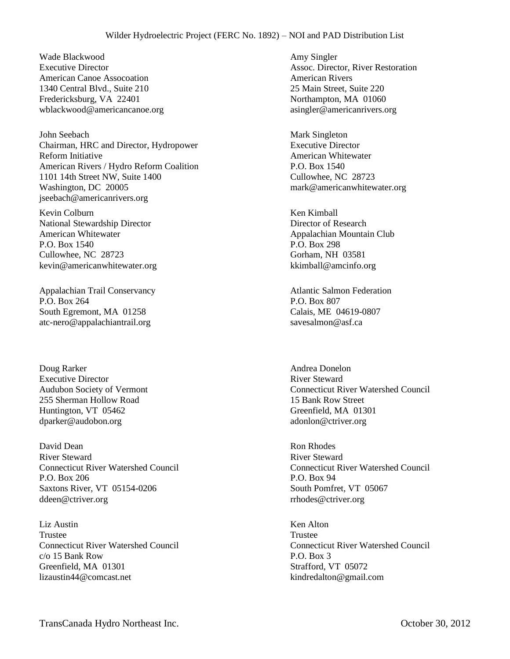## Wilder Hydroelectric Project (FERC No. 1892) – NOI and PAD Distribution List

Wade Blackwood Executive Director American Canoe Assocoation 1340 Central Blvd., Suite 210 Fredericksburg, VA 22401 wblackwood@americancanoe.org

John Seebach Chairman, HRC and Director, Hydropower Reform Initiative American Rivers / Hydro Reform Coalition 1101 14th Street NW, Suite 1400 Washington, DC 20005 jseebach@americanrivers.org

Kevin Colburn National Stewardship Director American Whitewater P.O. Box 1540 Cullowhee, NC 28723 kevin@americanwhitewater.org

Appalachian Trail Conservancy P.O. Box 264 South Egremont, MA 01258 atc-nero@appalachiantrail.org

Doug Rarker Executive Director Audubon Society of Vermont 255 Sherman Hollow Road Huntington, VT 05462 dparker@audobon.org

David Dean River Steward Connecticut River Watershed Council P.O. Box 206 Saxtons River, VT 05154-0206 ddeen@ctriver.org

Liz Austin Trustee Connecticut River Watershed Council c/o 15 Bank Row Greenfield, MA 01301 lizaustin44@comcast.net

Amy Singler Assoc. Director, River Restoration American Rivers 25 Main Street, Suite 220 Northampton, MA 01060 asingler@americanrivers.org

Mark Singleton Executive Director American Whitewater P.O. Box 1540 Cullowhee, NC 28723 mark@americanwhitewater.org

Ken Kimball Director of Research Appalachian Mountain Club P.O. Box 298 Gorham, NH 03581 kkimball@amcinfo.org

Atlantic Salmon Federation P.O. Box 807 Calais, ME 04619-0807 savesalmon@asf.ca

Andrea Donelon River Steward Connecticut River Watershed Council 15 Bank Row Street Greenfield, MA 01301 adonlon@ctriver.org

Ron Rhodes River Steward Connecticut River Watershed Council P.O. Box 94 South Pomfret, VT 05067 rrhodes@ctriver.org

Ken Alton Trustee Connecticut River Watershed Council P.O. Box 3 Strafford, VT 05072 kindredalton@gmail.com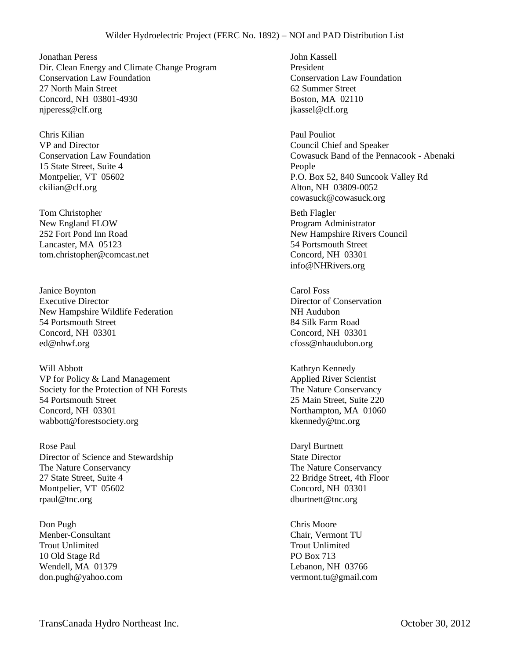Jonathan Peress Dir. Clean Energy and Climate Change Program Conservation Law Foundation 27 North Main Street Concord, NH 03801-4930 njperess@clf.org

Chris Kilian VP and Director Conservation Law Foundation 15 State Street, Suite 4 Montpelier, VT 05602 ckilian@clf.org

Tom Christopher New England FLOW 252 Fort Pond Inn Road Lancaster, MA 05123 tom.christopher@comcast.net

Janice Boynton Executive Director New Hampshire Wildlife Federation 54 Portsmouth Street Concord, NH 03301 ed@nhwf.org

Will Abbott VP for Policy & Land Management Society for the Protection of NH Forests 54 Portsmouth Street Concord, NH 03301 wabbott@forestsociety.org

Rose Paul Director of Science and Stewardship The Nature Conservancy 27 State Street, Suite 4 Montpelier, VT 05602 rpaul@tnc.org

Don Pugh Menber-Consultant Trout Unlimited 10 Old Stage Rd Wendell, MA 01379 don.pugh@yahoo.com

John Kassell President Conservation Law Foundation 62 Summer Street Boston, MA 02110 jkassel@clf.org

Paul Pouliot Council Chief and Speaker Cowasuck Band of the Pennacook - Abenaki People P.O. Box 52, 840 Suncook Valley Rd Alton, NH 03809-0052 cowasuck@cowasuck.org

Beth Flagler Program Administrator New Hampshire Rivers Council 54 Portsmouth Street Concord, NH 03301 info@NHRivers.org

Carol Foss Director of Conservation NH Audubon 84 Silk Farm Road Concord, NH 03301 cfoss@nhaudubon.org

Kathryn Kennedy Applied River Scientist The Nature Conservancy 25 Main Street, Suite 220 Northampton, MA 01060 kkennedy@tnc.org

Daryl Burtnett State Director The Nature Conservancy 22 Bridge Street, 4th Floor Concord, NH 03301 dburtnett@tnc.org

Chris Moore Chair, Vermont TU Trout Unlimited PO Box 713 Lebanon, NH 03766 vermont.tu@gmail.com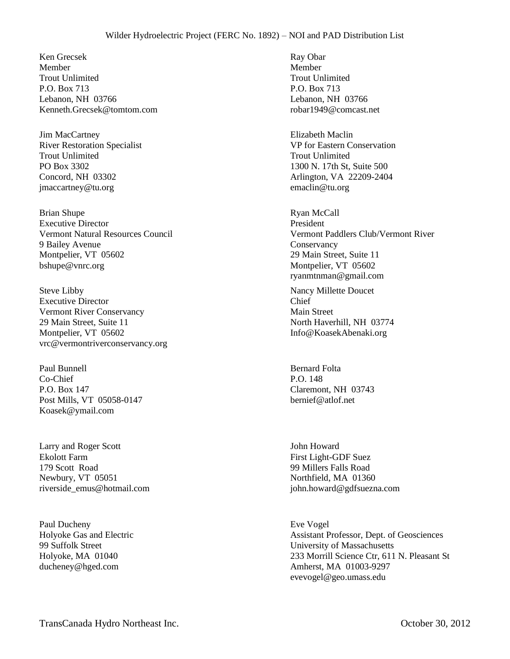Ken Grecsek Member Trout Unlimited P.O. Box 713 Lebanon, NH 03766 Kenneth.Grecsek@tomtom.com

Jim MacCartney River Restoration Specialist Trout Unlimited PO Box 3302 Concord, NH 03302 jmaccartney@tu.org

Brian Shupe Executive Director Vermont Natural Resources Council 9 Bailey Avenue Montpelier, VT 05602 bshupe@vnrc.org

Steve Libby Executive Director Vermont River Conservancy 29 Main Street, Suite 11 Montpelier, VT 05602 vrc@vermontriverconservancy.org

Paul Bunnell Co-Chief P.O. Box 147 Post Mills, VT 05058-0147 Koasek@ymail.com

Larry and Roger Scott Ekolott Farm 179 Scott Road Newbury, VT 05051 riverside\_emus@hotmail.com

Paul Ducheny Holyoke Gas and Electric 99 Suffolk Street Holyoke, MA 01040 ducheney@hged.com

Ray Obar Member Trout Unlimited P.O. Box 713 Lebanon, NH 03766 robar1949@comcast.net

Elizabeth Maclin VP for Eastern Conservation Trout Unlimited 1300 N. 17th St, Suite 500 Arlington, VA 22209-2404 emaclin@tu.org

Ryan McCall President Vermont Paddlers Club/Vermont River **Conservancy** 29 Main Street, Suite 11 Montpelier, VT 05602 ryanmtnman@gmail.com

Nancy Millette Doucet Chief Main Street North Haverhill, NH 03774 Info@KoasekAbenaki.org

Bernard Folta P.O. 148 Claremont, NH 03743 bernief@atlof.net

John Howard First Light-GDF Suez 99 Millers Falls Road Northfield, MA 01360 john.howard@gdfsuezna.com

Eve Vogel Assistant Professor, Dept. of Geosciences University of Massachusetts 233 Morrill Science Ctr, 611 N. Pleasant St Amherst, MA 01003-9297 evevogel@geo.umass.edu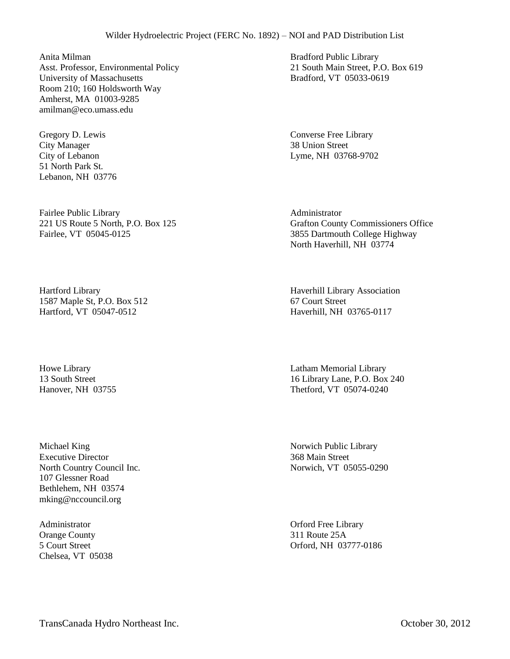Anita Milman Asst. Professor, Environmental Policy University of Massachusetts Room 210; 160 Holdsworth Way Amherst, MA 01003-9285 amilman@eco.umass.edu

Gregory D. Lewis City Manager City of Lebanon 51 North Park St. Lebanon, NH 03776

Fairlee Public Library 221 US Route 5 North, P.O. Box 125 Fairlee, VT 05045-0125

Hartford Library 1587 Maple St, P.O. Box 512 Hartford, VT 05047-0512

Howe Library 13 South Street Hanover, NH 03755

Michael King Executive Director North Country Council Inc. 107 Glessner Road Bethlehem, NH 03574 mking@nccouncil.org

Administrator Orange County 5 Court Street Chelsea, VT 05038 Bradford Public Library 21 South Main Street, P.O. Box 619 Bradford, VT 05033-0619

Converse Free Library 38 Union Street Lyme, NH 03768-9702

Administrator Grafton County Commissioners Office 3855 Dartmouth College Highway North Haverhill, NH 03774

Haverhill Library Association 67 Court Street Haverhill, NH 03765-0117

Latham Memorial Library 16 Library Lane, P.O. Box 240 Thetford, VT 05074-0240

Norwich Public Library 368 Main Street Norwich, VT 05055-0290

Orford Free Library 311 Route 25A Orford, NH 03777-0186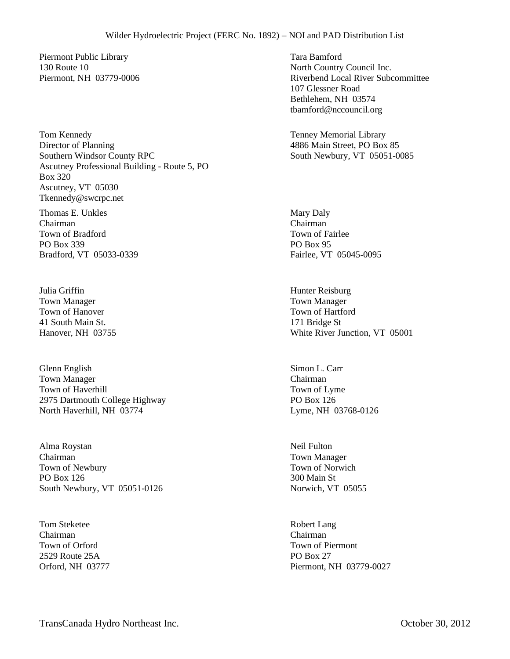Piermont Public Library 130 Route 10 Piermont, NH 03779-0006

Tom Kennedy Director of Planning Southern Windsor County RPC Ascutney Professional Building - Route 5, PO Box 320 Ascutney, VT 05030 Tkennedy@swcrpc.net

Thomas E. Unkles Chairman Town of Bradford PO Box 339 Bradford, VT 05033-0339

Julia Griffin Town Manager Town of Hanover 41 South Main St. Hanover, NH 03755

Glenn English Town Manager Town of Haverhill 2975 Dartmouth College Highway North Haverhill, NH 03774

Alma Roystan Chairman Town of Newbury PO Box 126 South Newbury, VT 05051-0126

Tom Steketee Chairman Town of Orford 2529 Route 25A Orford, NH 03777 Tara Bamford North Country Council Inc. Riverbend Local River Subcommittee 107 Glessner Road Bethlehem, NH 03574 tbamford@nccouncil.org

Tenney Memorial Library 4886 Main Street, PO Box 85 South Newbury, VT 05051-0085

Mary Daly Chairman Town of Fairlee PO Box 95 Fairlee, VT 05045-0095

Hunter Reisburg Town Manager Town of Hartford 171 Bridge St White River Junction, VT 05001

Simon L. Carr Chairman Town of Lyme PO Box 126 Lyme, NH 03768-0126

Neil Fulton Town Manager Town of Norwich 300 Main St Norwich, VT 05055

Robert Lang Chairman Town of Piermont PO Box 27 Piermont, NH 03779-0027